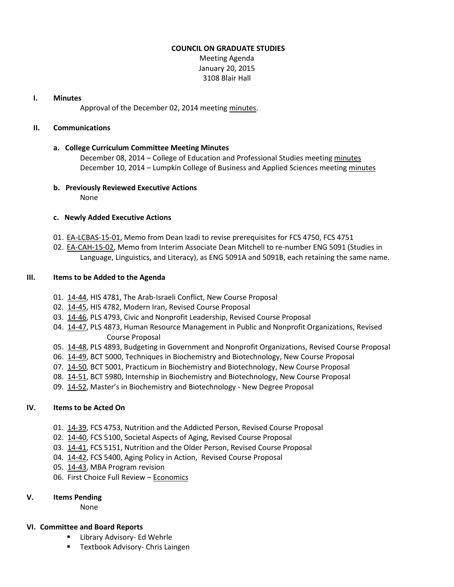#### **COUNCIL ON GRADUATE STUDIES**

Meeting Agenda January 20, 2015 3108 Blair Hall

#### **I. Minutes**

Approval of the December 02, 2014 meeting [minutes.](http://castle.eiu.edu/eiucgs/currentminutes/Minutes12-02-14.pdf)

#### **II. Communications**

# **a. College Curriculum Committee Meeting Minutes**

December 08, 2014 – College of Education and Professional Studies meeting [minutes](http://castle.eiu.edu/~eiucgs/currentagendaitems/CEPSMin12-08-14.pdf) December 10, 2014 – Lumpkin College of Business and Applied Sciences meetin[g minutes](http://castle.eiu.edu/~eiucgs/currentagendaitems/LCBASMin12-10-14.pdf)

# **b. Previously Reviewed Executive Actions**

None

# **c. Newly Added Executive Actions**

- 01. [EA-LCBAS-15-01,](http://castle.eiu.edu/~eiucgs/exec-actions/EA-LCBAS-15-01.pdf) Memo from Dean Izadi to revise prerequisites for FCS 4750, FCS 4751
- 02. [EA-CAH-15-02,](http://castle.eiu.edu/~eiucgs/exec-actions/EA-CAH-15-02.pdf) Memo from Interim Associate Dean Mitchell to re-number ENG 5091 (Studies in Language, Linguistics, and Literacy), as ENG 5091A and 5091B, each retaining the same name.

# **III. Items to be Added to the Agenda**

- 01. [14-44,](http://castle.eiu.edu/~eiucgs/currentagendaitems/agenda14-44.pdf) HIS 4781, The Arab-Israeli Conflict, New Course Proposal
- 02. [14-45,](http://castle.eiu.edu/~eiucgs/currentagendaitems/agenda14-45.pdf) HIS 4782, Modern Iran, Revised Course Proposal
- 03. [14-46,](http://castle.eiu.edu/~eiucgs/currentagendaitems/agenda14-46.pdf) PLS 4793, Civic and Nonprofit Leadership, Revised Course Proposal
- 04. [14-47,](http://castle.eiu.edu/~eiucgs/currentagendaitems/agenda14-47.pdf) PLS 4873, Human Resource Management in Public and Nonprofit Organizations, Revised Course Proposal
- 05. [14-48,](http://castle.eiu.edu/~eiucgs/currentagendaitems/agenda14-48.pdf) PLS 4893, Budgeting in Government and Nonprofit Organizations, Revised Course Proposal
- 06. [14-49,](http://castle.eiu.edu/~eiucgs/currentagendaitems/agenda14-49.pdf) BCT 5000, Techniques in Biochemistry and Biotechnology, New Course Proposal
- 07. [14-50,](http://castle.eiu.edu/~eiucgs/currentagendaitems/agenda14-50.pdf) BCT 5001, Practicum in Biochemistry and Biotechnology, New Course Proposal
- 08. [14-51,](http://castle.eiu.edu/~eiucgs/currentagendaitems/agenda14-51.pdf) BCT 5980, Internship in Biochemistry and Biotechnology, New Course Proposal
- 09. [14-52,](http://castle.eiu.edu/~eiucgs/currentagendaitems/agenda14-52.pdf) Master's in Biochemistry and Biotechnology New Degree Proposal

# **IV. Items to be Acted On**

- 01. [14-39,](http://castle.eiu.edu/~eiucgs/currentagendaitems/agenda14-39.pdf) FCS 4753, Nutrition and the Addicted Person, Revised Course Proposal
- 02. [14-40,](http://castle.eiu.edu/~eiucgs/currentagendaitems/agenda14-40.pdf) FCS 5100, Societal Aspects of Aging, Revised Course Proposal
- 03. [14-41,](http://castle.eiu.edu/~eiucgs/currentagendaitems/agenda14-41.pdf) FCS 5151, Nutrition and the Older Person, Revised Course Proposal
- 04. [14-42,](http://castle.eiu.edu/~eiucgs/currentagendaitems/agenda14-42.pdf) FCS 5400, Aging Policy in Action, Revised Course Proposal
- 05. [14-43,](http://castle.eiu.edu/~eiucgs/currentagendaitems/agenda14-43.pdf) MBA Program revision
- 06. First Choice Full Review [Economics](http://castle.eiu.edu/~eiucgs/documents/EconomicsFirstChoiceReviewReport.pdf)

# **V. Items Pending**

None

# **VI. Committee and Board Reports**

- **EXEC** Library Advisory- Ed Wehrle
- **Textbook Advisory- Chris Laingen**